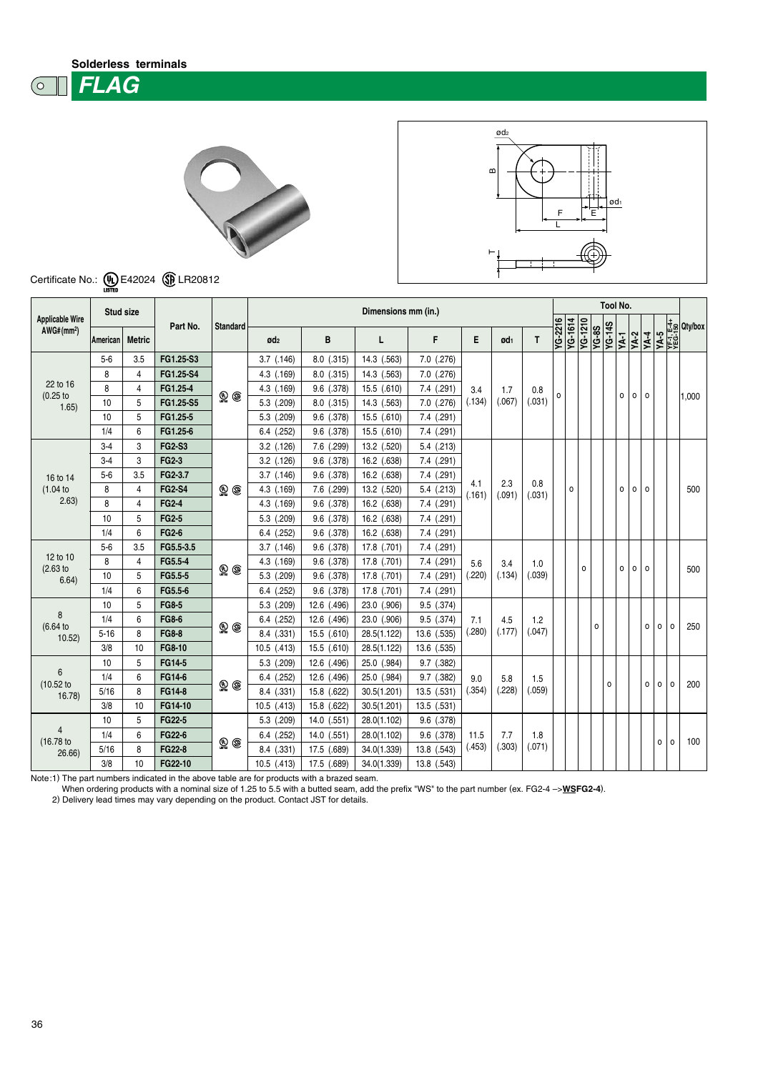**FLAG**

 $\sqrt{\circ}$  $\mathbb T$ 

**Contract Contract Contract Contract** 



## Certificate No.: **(4)** E42024 **S** LR20812

|                                                  | <b>Stud size</b> |                |               |                 |                 |                | Dimensions mm (in.) |                |                |                                  |               |                |             |   |              | Tool No.      |                |                     |                   |         |       |
|--------------------------------------------------|------------------|----------------|---------------|-----------------|-----------------|----------------|---------------------|----------------|----------------|----------------------------------|---------------|----------------|-------------|---|--------------|---------------|----------------|---------------------|-------------------|---------|-------|
| <b>Applicable Wire</b><br>AWG#(mm <sup>2</sup> ) |                  |                | Part No.      | <b>Standard</b> |                 |                |                     |                |                | <b>YG-1614</b><br><b>YG-2216</b> |               | <b>YG-1210</b> |             |   |              |               |                |                     | Le display/box    |         |       |
|                                                  | American         | <b>Metric</b>  |               |                 | ød <sub>2</sub> | B              | L                   | F              | E              | ød <sub>1</sub>                  | T             |                |             |   | <b>YG-8S</b> | <b>YG-14S</b> | $YA-1$         | $\overline{YA-2}$   | $\overline{YA-4}$ |         |       |
|                                                  | $5-6$            | 3.5            | FG1.25-S3     |                 | $3.7$ $(.146)$  | 8.0 (.315)     | 14.3 (.563)         | 7.0 (.276)     |                |                                  |               |                |             |   |              |               |                |                     |                   |         |       |
|                                                  | 8                | $\overline{4}$ | FG1.25-S4     |                 | $4.3$ $(.169)$  | 8.0 (.315)     | 14.3 (.563)         | $7.0$ $(.276)$ |                |                                  |               |                |             |   |              |               |                |                     |                   |         |       |
| 22 to 16<br>$(0.25$ to                           | 8                | $\overline{4}$ | FG1.25-4      |                 | 4.3 (.169)      | 9.6 (.378)     | 15.5 (.610)         | $7.4$ (.291)   | 3.4            | 1.7                              | 0.8           | 0              |             |   |              |               | $\circ$        | $\circ$<br>$\circ$  |                   |         | 1,000 |
| 1.65)                                            | 10               | 5              | FG1.25-S5     | <b>@ ®</b>      | 5.3 (.209)      | $8.0$ $(.315)$ | 14.3 (.563)         | $7.0$ $(.276)$ | (.134)         | (.067)                           | (.031)        |                |             |   |              |               |                |                     |                   |         |       |
|                                                  | 10               | 5              | FG1.25-5      |                 | 5.3 (.209)      | 9.6 (.378)     | 15.5 (.610)         | 7.4 (.291)     |                |                                  |               |                |             |   |              |               |                |                     |                   |         |       |
|                                                  | 1/4              | 6              | FG1.25-6      |                 | 6.4 (.252)      | 9.6 (.378)     | 15.5 (.610)         | $7.4$ (.291)   |                |                                  |               |                |             |   |              |               |                |                     |                   |         |       |
| 16 to 14<br>(1.04)<br>2.63)                      | $3 - 4$          | 3              | <b>FG2-S3</b> | ی پ             | $3.2$ $(.126)$  | 7.6 (.299)     | 13.2 (.520)         | $5.4$ $(.213)$ | 4.1<br>(.161)  | 2.3<br>(.091)                    | 0.8<br>(.031) |                |             |   |              |               |                |                     |                   |         |       |
|                                                  | $3 - 4$          | 3              | <b>FG2-3</b>  |                 | $3.2$ $(.126)$  | 9.6 (.378)     | 16.2 (.638)         | 7.4 (.291)     |                |                                  |               |                | $\mathbf 0$ |   |              |               |                |                     |                   |         |       |
|                                                  | $5-6$            | 3.5            | FG2-3.7       |                 | $3.7$ $(.146)$  | 9.6 (.378)     | 16.2 (.638)         | 7.4 (.291)     |                |                                  |               |                |             |   |              |               |                |                     |                   |         |       |
|                                                  | 8                | 4              | <b>FG2-S4</b> |                 | 4.3 (.169)      | 7.6 (.299)     | 13.2 (.520)         | $5.4$ (.213)   |                |                                  |               |                |             |   |              |               | $\mathsf{o}\,$ | 0                   | $\circ$           |         | 500   |
|                                                  | 8                | $\overline{4}$ | <b>FG2-4</b>  |                 | 4.3 (.169)      | 9.6 (.378)     | 16.2 (.638)         | 7.4 (.291)     |                |                                  |               |                |             |   |              |               |                |                     |                   |         |       |
|                                                  | 10               | 5              | <b>FG2-5</b>  |                 | 5.3 (.209)      | 9.6 (.378)     | 16.2 (.638)         | $7.4$ $(.291)$ |                |                                  |               |                |             |   |              |               |                |                     |                   |         |       |
|                                                  | 1/4              | 6              | <b>FG2-6</b>  |                 | (.252)<br>6.4   | 9.6 (.378)     | 16.2 (.638)         | 7.4 (.291)     |                |                                  |               |                |             |   |              |               |                |                     |                   |         |       |
| 12 to 10<br>(2.63)<br>6.64)                      | $5-6$            | 3.5            | FG5.5-3.5     | <b>90 G</b>     | $3.7$ $(.146)$  | 9.6<br>(.378)  | 17.8<br>(.701)      | 7.4 (.291)     | 5.6<br>(.220)  | 3.4<br>(.134)                    | 1.0<br>(.039) |                |             |   |              |               |                |                     |                   |         |       |
|                                                  | 8                | $\overline{4}$ | FG5.5-4       |                 | 4.3 (.169)      | 9.6 (.378)     | 17.8 (.701)         | 7.4 (.291)     |                |                                  |               |                |             | 0 |              |               | $\circ$        | $\circ$<br>$\Omega$ |                   |         | 500   |
|                                                  | 10               | 5              | FG5.5-5       |                 | 5.3 (.209)      | 9.6 (.378)     | 17.8 (.701)         | 7.4 (.291)     |                |                                  |               |                |             |   |              |               |                |                     |                   |         |       |
|                                                  | 1/4              | 6              | FG5.5-6       |                 | (.252)<br>6.4   | 9.6 (.378)     | 17.8 (.701)         | $7.4$ (.291)   |                |                                  |               |                |             |   |              |               |                |                     |                   |         |       |
| $\bf 8$<br>(6.64 to<br>10.52)                    | 10               | 5              | <b>FG8-5</b>  | <b>@ ®</b>      | 5.3 (.209)      | 12.6<br>(.496) | 23.0<br>(.906)      | 9.5 (.374)     | 7.1<br>(.280)  | 4.5<br>(.177)                    | 1.2<br>(.047) |                |             |   |              |               |                |                     |                   |         |       |
|                                                  | 1/4              | 6              | <b>FG8-6</b>  |                 | (.252)<br>6.4   | 12.6 (.496)    | 23.0 (.906)         | $9.5$ $(.374)$ |                |                                  |               |                |             |   | $\circ$      |               |                |                     | 0<br>$\circ$      | $\circ$ | 250   |
|                                                  | $5 - 16$         | 8              | <b>FG8-8</b>  |                 | 8.4 (.331)      | 15.5 (.610)    | 28.5(1.122)         | 13.6 (.535)    |                |                                  |               |                |             |   |              |               |                |                     |                   |         |       |
|                                                  | 3/8              | 10             | FG8-10        |                 | (.413)<br>10.5  | 15.5 (.610)    | 28.5(1.122)         | (.535)<br>13.6 |                |                                  |               |                |             |   |              |               |                |                     |                   |         |       |
| 6<br>(10.52 to<br>16.78                          | 10               | 5              | FG14-5        | <b>90 G</b>     | 5.3 (.209)      | 12.6<br>(.496) | 25.0 (.984)         | $9.7$ (.382)   | 9.0<br>(.354)  | 5.8<br>(.228)                    | 1.5<br>(.059) |                |             |   |              |               |                |                     |                   |         |       |
|                                                  | 1/4              | 6              | FG14-6        |                 | 6.4 (.252)      | 12.6 (.496)    | 25.0 (.984)         | $9.7$ (.382)   |                |                                  |               |                |             |   |              | o             |                |                     | $\circ$<br>o      | $\circ$ | 200   |
|                                                  | 5/16             | 8              | FG14-8        |                 | 8.4 (.331)      | 15.8 (.622)    | 30.5(1.201)         | 13.5 (.531)    |                |                                  |               |                |             |   |              |               |                |                     |                   |         |       |
|                                                  | 3/8              | 10             | FG14-10       |                 | 10.5 (.413)     | 15.8 (.622)    | 30.5(1.201)         | 13.5 (.531)    |                |                                  |               |                |             |   |              |               |                |                     |                   |         |       |
| $\overline{4}$<br>(16.78 to<br>26.66             | 10               | 5              | FG22-5        | <b>90 G</b>     | 5.3 (.209)      | 14.0 (.551)    | 28.0(1.102)         | $9.6$ $(.378)$ | 11.5<br>(.453) | 7.7<br>(.303)                    | 1.8<br>(.071) |                |             |   |              |               |                |                     |                   |         |       |
|                                                  | 1/4              | 6              | FG22-6        |                 | 6.4 (.252)      | 14.0 (.551)    | 28.0(1.102)         | $9.6$ $(.378)$ |                |                                  |               |                |             |   |              |               |                |                     | $\circ$           | $\circ$ | 100   |
|                                                  | 5/16             | 8              | FG22-8        |                 | 8.4 (.331)      | 17.5 (.689)    | 34.0(1.339)         | 13.8 (.543)    |                |                                  |               |                |             |   |              |               |                |                     |                   |         |       |
|                                                  | 3/8              | 10             | FG22-10       |                 | $10.5$ $(.413)$ | 17.5 (.689)    | 34.0(1.339)         | 13.8 (.543)    |                |                                  |               |                |             |   |              |               |                |                     |                   |         |       |

Note:1) The part numbers indicated in the above table are for products with a brazed seam.

 When ordering products with a nominal size of 1.25 to 5.5 with a butted seam, add the prefix "WS" to the part number (ex. FG2-4 –>**WSFG2-4**). 2) Delivery lead times may vary depending on the product. Contact JST for details.